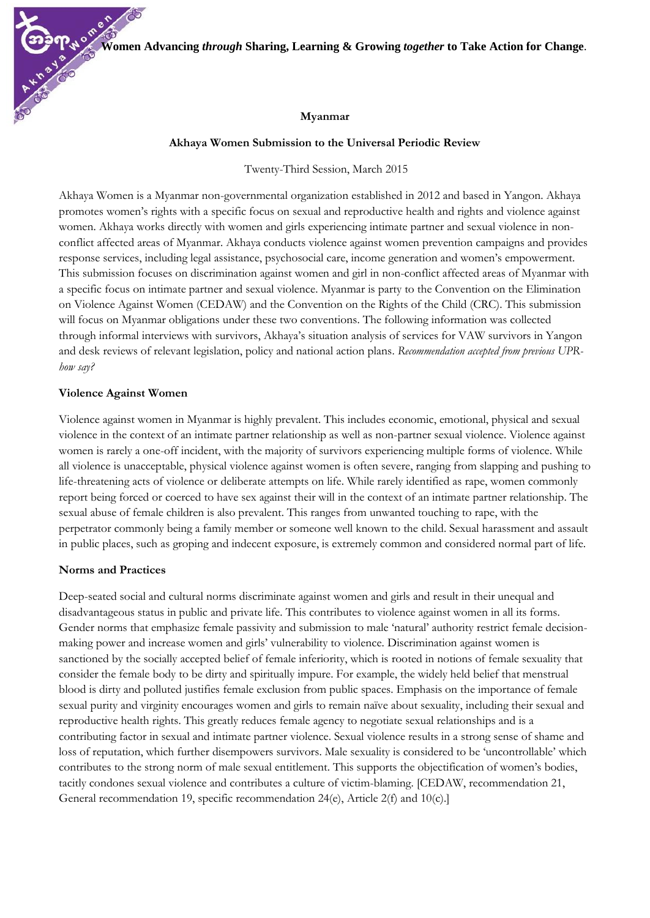**Women Advancing** *through* **Sharing, Learning & Growing** *together* **to Take Action for Change**.

### **Myanmar**

#### **Akhaya Women Submission to the Universal Periodic Review**

Twenty-Third Session, March 2015

Akhaya Women is a Myanmar non-governmental organization established in 2012 and based in Yangon. Akhaya promotes women's rights with a specific focus on sexual and reproductive health and rights and violence against women. Akhaya works directly with women and girls experiencing intimate partner and sexual violence in nonconflict affected areas of Myanmar. Akhaya conducts violence against women prevention campaigns and provides response services, including legal assistance, psychosocial care, income generation and women's empowerment. This submission focuses on discrimination against women and girl in non-conflict affected areas of Myanmar with a specific focus on intimate partner and sexual violence. Myanmar is party to the Convention on the Elimination on Violence Against Women (CEDAW) and the Convention on the Rights of the Child (CRC). This submission will focus on Myanmar obligations under these two conventions. The following information was collected through informal interviews with survivors, Akhaya's situation analysis of services for VAW survivors in Yangon and desk reviews of relevant legislation, policy and national action plans. *Recommendation accepted from previous UPRhow say?*

### **Violence Against Women**

Violence against women in Myanmar is highly prevalent. This includes economic, emotional, physical and sexual violence in the context of an intimate partner relationship as well as non-partner sexual violence. Violence against women is rarely a one-off incident, with the majority of survivors experiencing multiple forms of violence. While all violence is unacceptable, physical violence against women is often severe, ranging from slapping and pushing to life-threatening acts of violence or deliberate attempts on life. While rarely identified as rape, women commonly report being forced or coerced to have sex against their will in the context of an intimate partner relationship. The sexual abuse of female children is also prevalent. This ranges from unwanted touching to rape, with the perpetrator commonly being a family member or someone well known to the child. Sexual harassment and assault in public places, such as groping and indecent exposure, is extremely common and considered normal part of life.

#### **Norms and Practices**

Deep-seated social and cultural norms discriminate against women and girls and result in their unequal and disadvantageous status in public and private life. This contributes to violence against women in all its forms. Gender norms that emphasize female passivity and submission to male 'natural' authority restrict female decisionmaking power and increase women and girls' vulnerability to violence. Discrimination against women is sanctioned by the socially accepted belief of female inferiority, which is rooted in notions of female sexuality that consider the female body to be dirty and spiritually impure. For example, the widely held belief that menstrual blood is dirty and polluted justifies female exclusion from public spaces. Emphasis on the importance of female sexual purity and virginity encourages women and girls to remain naïve about sexuality, including their sexual and reproductive health rights. This greatly reduces female agency to negotiate sexual relationships and is a contributing factor in sexual and intimate partner violence. Sexual violence results in a strong sense of shame and loss of reputation, which further disempowers survivors. Male sexuality is considered to be 'uncontrollable' which contributes to the strong norm of male sexual entitlement. This supports the objectification of women's bodies, tacitly condones sexual violence and contributes a culture of victim-blaming. [CEDAW, recommendation 21, General recommendation 19, specific recommendation 24(e), Article 2(f) and 10(c).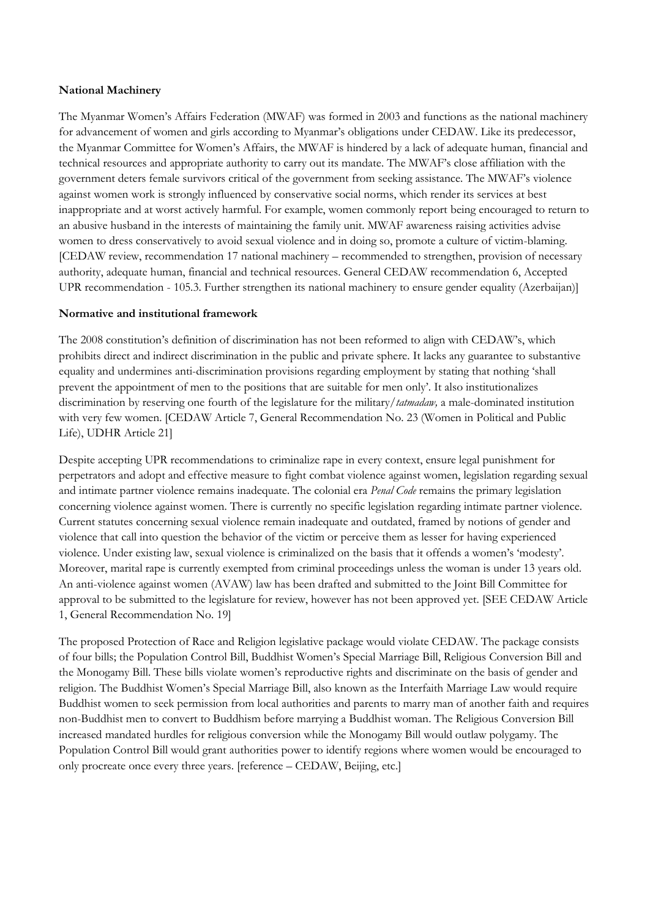# **National Machinery**

The Myanmar Women's Affairs Federation (MWAF) was formed in 2003 and functions as the national machinery for advancement of women and girls according to Myanmar's obligations under CEDAW. Like its predecessor, the Myanmar Committee for Women's Affairs, the MWAF is hindered by a lack of adequate human, financial and technical resources and appropriate authority to carry out its mandate. The MWAF's close affiliation with the government deters female survivors critical of the government from seeking assistance. The MWAF's violence against women work is strongly influenced by conservative social norms, which render its services at best inappropriate and at worst actively harmful. For example, women commonly report being encouraged to return to an abusive husband in the interests of maintaining the family unit. MWAF awareness raising activities advise women to dress conservatively to avoid sexual violence and in doing so, promote a culture of victim-blaming. [CEDAW review, recommendation 17 national machinery – recommended to strengthen, provision of necessary authority, adequate human, financial and technical resources. General CEDAW recommendation 6, Accepted UPR recommendation - 105.3. Further strengthen its national machinery to ensure gender equality (Azerbaijan)]

# **Normative and institutional framework**

The 2008 constitution's definition of discrimination has not been reformed to align with CEDAW's, which prohibits direct and indirect discrimination in the public and private sphere. It lacks any guarantee to substantive equality and undermines anti-discrimination provisions regarding employment by stating that nothing 'shall prevent the appointment of men to the positions that are suitable for men only'. It also institutionalizes discrimination by reserving one fourth of the legislature for the military/*tatmadaw,* a male-dominated institution with very few women. [CEDAW Article 7, General Recommendation No. 23 (Women in Political and Public Life), UDHR Article 21]

Despite accepting UPR recommendations to criminalize rape in every context, ensure legal punishment for perpetrators and adopt and effective measure to fight combat violence against women, legislation regarding sexual and intimate partner violence remains inadequate. The colonial era *Penal Code* remains the primary legislation concerning violence against women. There is currently no specific legislation regarding intimate partner violence. Current statutes concerning sexual violence remain inadequate and outdated, framed by notions of gender and violence that call into question the behavior of the victim or perceive them as lesser for having experienced violence. Under existing law, sexual violence is criminalized on the basis that it offends a women's 'modesty'. Moreover, marital rape is currently exempted from criminal proceedings unless the woman is under 13 years old. An anti-violence against women (AVAW) law has been drafted and submitted to the Joint Bill Committee for approval to be submitted to the legislature for review, however has not been approved yet. [SEE CEDAW Article 1, General Recommendation No. 19]

The proposed Protection of Race and Religion legislative package would violate CEDAW. The package consists of four bills; the Population Control Bill, Buddhist Women's Special Marriage Bill, Religious Conversion Bill and the Monogamy Bill. These bills violate women's reproductive rights and discriminate on the basis of gender and religion. The Buddhist Women's Special Marriage Bill, also known as the Interfaith Marriage Law would require Buddhist women to seek permission from local authorities and parents to marry man of another faith and requires non-Buddhist men to convert to Buddhism before marrying a Buddhist woman. The Religious Conversion Bill increased mandated hurdles for religious conversion while the Monogamy Bill would outlaw polygamy. The Population Control Bill would grant authorities power to identify regions where women would be encouraged to only procreate once every three years. [reference – CEDAW, Beijing, etc.]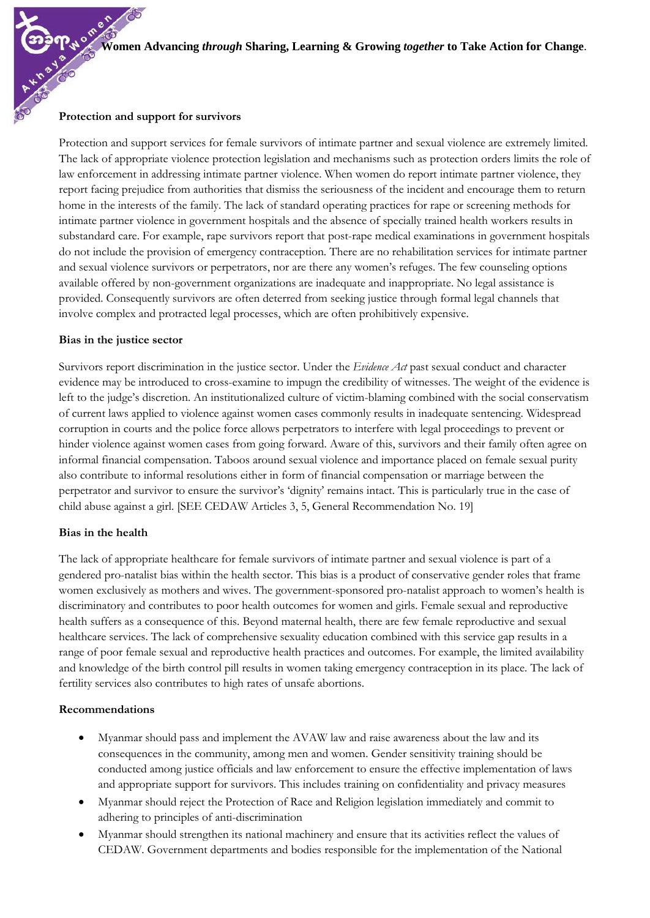## **Protection and support for survivors**

Protection and support services for female survivors of intimate partner and sexual violence are extremely limited. The lack of appropriate violence protection legislation and mechanisms such as protection orders limits the role of law enforcement in addressing intimate partner violence. When women do report intimate partner violence, they report facing prejudice from authorities that dismiss the seriousness of the incident and encourage them to return home in the interests of the family. The lack of standard operating practices for rape or screening methods for intimate partner violence in government hospitals and the absence of specially trained health workers results in substandard care. For example, rape survivors report that post-rape medical examinations in government hospitals do not include the provision of emergency contraception. There are no rehabilitation services for intimate partner and sexual violence survivors or perpetrators, nor are there any women's refuges. The few counseling options available offered by non-government organizations are inadequate and inappropriate. No legal assistance is provided. Consequently survivors are often deterred from seeking justice through formal legal channels that involve complex and protracted legal processes, which are often prohibitively expensive.

### **Bias in the justice sector**

Survivors report discrimination in the justice sector. Under the *Evidence Act* past sexual conduct and character evidence may be introduced to cross-examine to impugn the credibility of witnesses. The weight of the evidence is left to the judge's discretion. An institutionalized culture of victim-blaming combined with the social conservatism of current laws applied to violence against women cases commonly results in inadequate sentencing. Widespread corruption in courts and the police force allows perpetrators to interfere with legal proceedings to prevent or hinder violence against women cases from going forward. Aware of this, survivors and their family often agree on informal financial compensation. Taboos around sexual violence and importance placed on female sexual purity also contribute to informal resolutions either in form of financial compensation or marriage between the perpetrator and survivor to ensure the survivor's 'dignity' remains intact. This is particularly true in the case of child abuse against a girl. [SEE CEDAW Articles 3, 5, General Recommendation No. 19]

### **Bias in the health**

The lack of appropriate healthcare for female survivors of intimate partner and sexual violence is part of a gendered pro-natalist bias within the health sector. This bias is a product of conservative gender roles that frame women exclusively as mothers and wives. The government-sponsored pro-natalist approach to women's health is discriminatory and contributes to poor health outcomes for women and girls. Female sexual and reproductive health suffers as a consequence of this. Beyond maternal health, there are few female reproductive and sexual healthcare services. The lack of comprehensive sexuality education combined with this service gap results in a range of poor female sexual and reproductive health practices and outcomes. For example, the limited availability and knowledge of the birth control pill results in women taking emergency contraception in its place. The lack of fertility services also contributes to high rates of unsafe abortions.

### **Recommendations**

- Myanmar should pass and implement the AVAW law and raise awareness about the law and its consequences in the community, among men and women. Gender sensitivity training should be conducted among justice officials and law enforcement to ensure the effective implementation of laws and appropriate support for survivors. This includes training on confidentiality and privacy measures
- Myanmar should reject the Protection of Race and Religion legislation immediately and commit to adhering to principles of anti-discrimination
- Myanmar should strengthen its national machinery and ensure that its activities reflect the values of CEDAW. Government departments and bodies responsible for the implementation of the National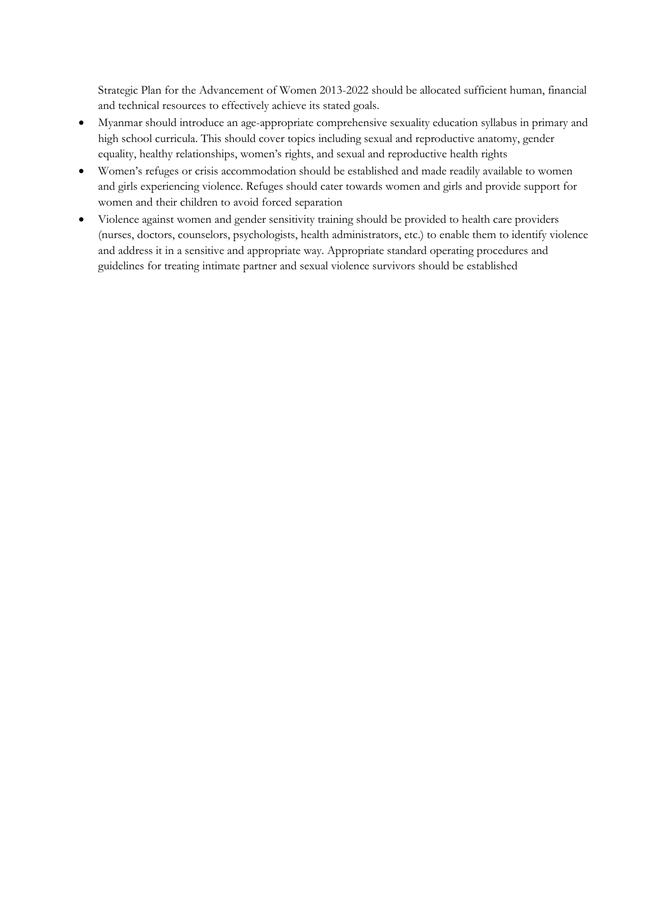Strategic Plan for the Advancement of Women 2013-2022 should be allocated sufficient human, financial and technical resources to effectively achieve its stated goals.

- Myanmar should introduce an age-appropriate comprehensive sexuality education syllabus in primary and high school curricula. This should cover topics including sexual and reproductive anatomy, gender equality, healthy relationships, women's rights, and sexual and reproductive health rights
- Women's refuges or crisis accommodation should be established and made readily available to women and girls experiencing violence. Refuges should cater towards women and girls and provide support for women and their children to avoid forced separation
- Violence against women and gender sensitivity training should be provided to health care providers (nurses, doctors, counselors, psychologists, health administrators, etc.) to enable them to identify violence and address it in a sensitive and appropriate way. Appropriate standard operating procedures and guidelines for treating intimate partner and sexual violence survivors should be established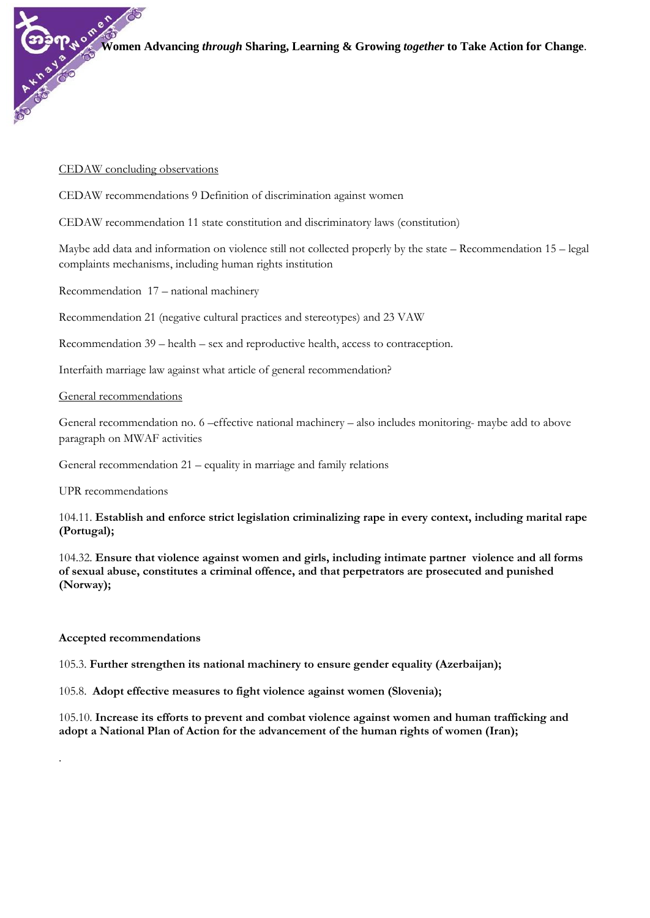## CEDAW concluding observations

CEDAW recommendations 9 Definition of discrimination against women

CEDAW recommendation 11 state constitution and discriminatory laws (constitution)

Maybe add data and information on violence still not collected properly by the state – Recommendation 15 – legal complaints mechanisms, including human rights institution

Recommendation 17 – national machinery

Recommendation 21 (negative cultural practices and stereotypes) and 23 VAW

Recommendation 39 – health – sex and reproductive health, access to contraception.

Interfaith marriage law against what article of general recommendation?

### General recommendations

General recommendation no. 6 –effective national machinery – also includes monitoring- maybe add to above paragraph on MWAF activities

General recommendation 21 – equality in marriage and family relations

UPR recommendations

104.11. **Establish and enforce strict legislation criminalizing rape in every context, including marital rape (Portugal);**

104.32. **Ensure that violence against women and girls, including intimate partner violence and all forms of sexual abuse, constitutes a criminal offence, and that perpetrators are prosecuted and punished (Norway);**

# **Accepted recommendations**

.

105.3. **Further strengthen its national machinery to ensure gender equality (Azerbaijan);**

105.8. **Adopt effective measures to fight violence against women (Slovenia);** 

105.10. **Increase its efforts to prevent and combat violence against women and human trafficking and adopt a National Plan of Action for the advancement of the human rights of women (Iran);**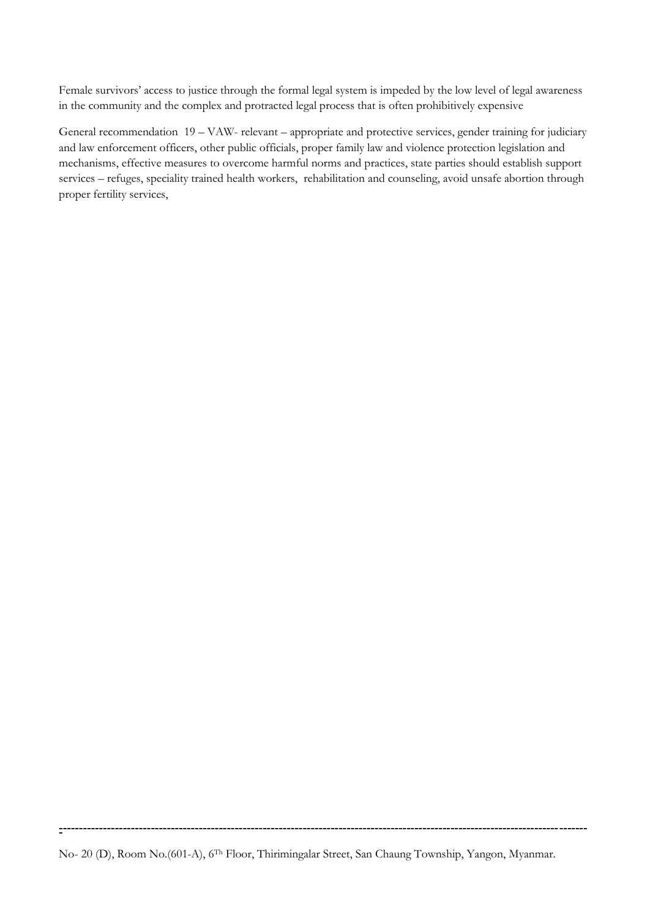Female survivors' access to justice through the formal legal system is impeded by the low level of legal awareness in the community and the complex and protracted legal process that is often prohibitively expensive

General recommendation 19 – VAW- relevant – appropriate and protective services, gender training for judiciary and law enforcement officers, other public officials, proper family law and violence protection legislation and mechanisms, effective measures to overcome harmful norms and practices, state parties should establish support services – refuges, speciality trained health workers, rehabilitation and counseling, avoid unsafe abortion through proper fertility services,

No- 20 (D), Room No.(601-A), 6Th Floor, Thirimingalar Street, San Chaung Township, Yangon, Myanmar.

**-**

**------------------------------------------------------------------------------------------------------------------------------------**